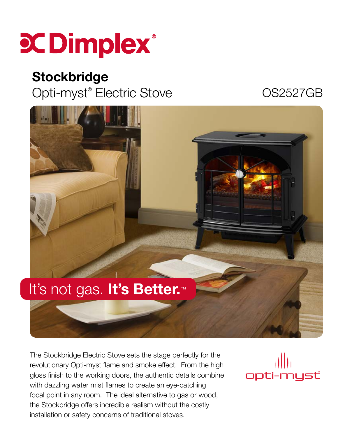

## **Stockbridge**

Opti-myst® Electric Stove **COS2527GB** 



The Stockbridge Electric Stove sets the stage perfectly for the revolutionary Opti-myst flame and smoke effect. From the high gloss finish to the working doors, the authentic details combine with dazzling water mist flames to create an eye-catching focal point in any room. The ideal alternative to gas or wood, the Stockbridge offers incredible realism without the costly installation or safety concerns of traditional stoves.